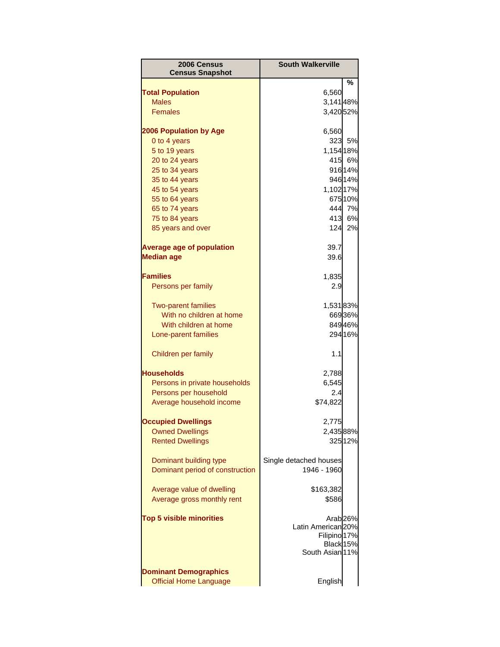| 2006 Census<br><b>Census Snapshot</b> | <b>South Walkerville</b>      |                     |
|---------------------------------------|-------------------------------|---------------------|
|                                       |                               | ℅                   |
| <b>Total Population</b>               | 6,560                         |                     |
| <b>Males</b>                          | 3,14148%                      |                     |
| <b>Females</b>                        | 3,42052%                      |                     |
| <b>2006 Population by Age</b>         | 6,560                         |                     |
| 0 to 4 years                          | 323                           | 5%                  |
| 5 to 19 years                         | 1,154 18%                     |                     |
| 20 to 24 years                        | 415                           | 6%                  |
| 25 to 34 years                        |                               | 91614%              |
| 35 to 44 years                        |                               | 946 14%             |
| 45 to 54 years                        | 1,102 17%                     |                     |
| 55 to 64 years                        |                               | 675 10%             |
| 65 to 74 years                        |                               | 444 7%              |
| 75 to 84 years                        |                               | 413 6%              |
| 85 years and over                     |                               | 124 2%              |
| <b>Average age of population</b>      | 39.7                          |                     |
| <b>Median age</b>                     | 39.6                          |                     |
|                                       |                               |                     |
| <b>Families</b>                       | 1,835                         |                     |
| Persons per family                    | 2.9                           |                     |
| <b>Two-parent families</b>            | 1,53183%                      |                     |
| With no children at home              |                               | 66936%              |
| With children at home                 |                               | 84946%              |
| Lone-parent families                  |                               | 294 16%             |
| Children per family                   | 1.1                           |                     |
| <b>Households</b>                     | 2,788                         |                     |
| Persons in private households         | 6,545                         |                     |
| Persons per household                 | 2.4                           |                     |
| Average household income              | \$74,822                      |                     |
| <b>Occupied Dwellings</b>             | 2,775                         |                     |
| <b>Owned Dwellings</b>                | 2,43588%                      |                     |
| <b>Rented Dwellings</b>               |                               | 32512%              |
| Dominant building type                | Single detached houses        |                     |
| Dominant period of construction       | 1946 - 1960                   |                     |
|                                       |                               |                     |
| Average value of dwelling             | \$163,382                     |                     |
| Average gross monthly rent            | \$586                         |                     |
| <b>Top 5 visible minorities</b>       |                               | Arab <sub>26%</sub> |
|                                       | Latin American <sub>20%</sub> |                     |
|                                       | Filipino 17%                  |                     |
|                                       | Black 15%<br>South Asian 11%  |                     |
|                                       |                               |                     |
| <b>Dominant Demographics</b>          |                               |                     |
| <b>Official Home Language</b>         | English                       |                     |